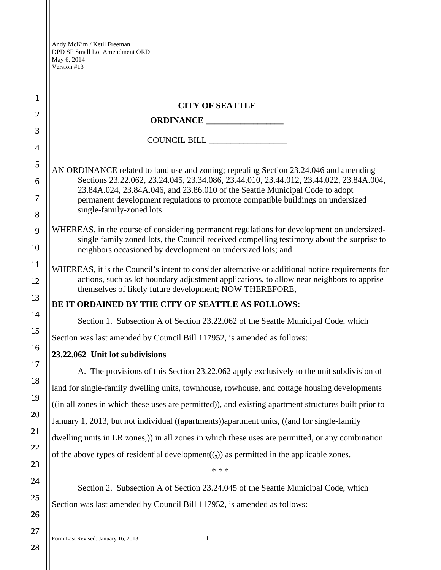| 1              | <b>CITY OF SEATTLE</b>                                                                                                                                                                                                                                 |  |  |
|----------------|--------------------------------------------------------------------------------------------------------------------------------------------------------------------------------------------------------------------------------------------------------|--|--|
| $\overline{2}$ |                                                                                                                                                                                                                                                        |  |  |
| 3              |                                                                                                                                                                                                                                                        |  |  |
| 4              |                                                                                                                                                                                                                                                        |  |  |
| 5              | AN ORDINANCE related to land use and zoning; repealing Section 23.24.046 and amending                                                                                                                                                                  |  |  |
| 6              | Sections 23.22.062, 23.24.045, 23.34.086, 23.44.010, 23.44.012, 23.44.022, 23.84A.004,                                                                                                                                                                 |  |  |
| 7              | 23.84A.024, 23.84A.046, and 23.86.010 of the Seattle Municipal Code to adopt<br>permanent development regulations to promote compatible buildings on undersized<br>single-family-zoned lots.                                                           |  |  |
| 8              |                                                                                                                                                                                                                                                        |  |  |
| 9<br>10        | WHEREAS, in the course of considering permanent regulations for development on undersized-<br>single family zoned lots, the Council received compelling testimony about the surprise to<br>neighbors occasioned by development on undersized lots; and |  |  |
| 11             | WHEREAS, it is the Council's intent to consider alternative or additional notice requirements for                                                                                                                                                      |  |  |
| 12             | actions, such as lot boundary adjustment applications, to allow near neighbors to apprise<br>themselves of likely future development; NOW THEREFORE,                                                                                                   |  |  |
| 13             | BE IT ORDAINED BY THE CITY OF SEATTLE AS FOLLOWS:                                                                                                                                                                                                      |  |  |
| 14             | Section 1. Subsection A of Section 23.22.062 of the Seattle Municipal Code, which                                                                                                                                                                      |  |  |
| 15             | Section was last amended by Council Bill 117952, is amended as follows:                                                                                                                                                                                |  |  |
| 16             | 23.22.062 Unit lot subdivisions                                                                                                                                                                                                                        |  |  |
| 17             | A. The provisions of this Section 23.22.062 apply exclusively to the unit subdivision of                                                                                                                                                               |  |  |
| 18             |                                                                                                                                                                                                                                                        |  |  |
| 19             | land for single-family dwelling units, townhouse, rowhouse, and cottage housing developments                                                                                                                                                           |  |  |
| 20             | ((in all zones in which these uses are permitted)), and existing apartment structures built prior to                                                                                                                                                   |  |  |
| 21             | January 1, 2013, but not individual ((apartments)) apartment units, ((and for single-family                                                                                                                                                            |  |  |
| 22             | dwelling units in LR zones,)) in all zones in which these uses are permitted, or any combination                                                                                                                                                       |  |  |
| 23             | of the above types of residential development $((,))$ as permitted in the applicable zones.                                                                                                                                                            |  |  |
|                | * * *                                                                                                                                                                                                                                                  |  |  |
| 24             | Section 2. Subsection A of Section 23.24.045 of the Seattle Municipal Code, which                                                                                                                                                                      |  |  |
| 25             | Section was last amended by Council Bill 117952, is amended as follows:                                                                                                                                                                                |  |  |
| 26             |                                                                                                                                                                                                                                                        |  |  |
| 27             |                                                                                                                                                                                                                                                        |  |  |

Form Last Revised: January 16, 2013 1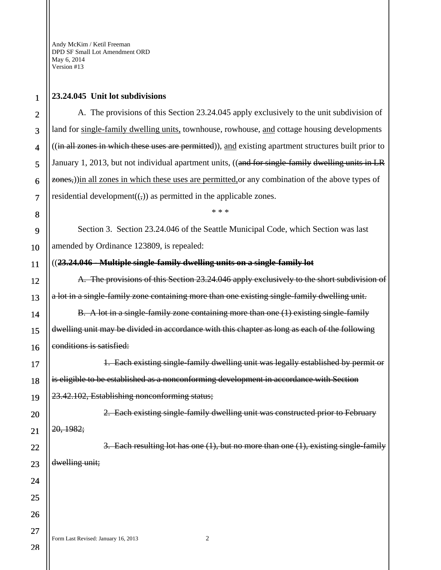## **23.24.045 Unit lot subdivisions**

A. The provisions of this Section 23.24.045 apply exclusively to the unit subdivision of land for single-family dwelling units, townhouse, rowhouse, and cottage housing developments ((in all zones in which these uses are permitted)), and existing apartment structures built prior to January 1, 2013, but not individual apartment units, ((and for single-family dwelling units in LR zones,)) in all zones in which these uses are permitted, or any combination of the above types of residential development $((,))$  as permitted in the applicable zones.

Section 3. Section 23.24.046 of the Seattle Municipal Code, which Section was last amended by Ordinance 123809, is repealed:

\* \* \*

### ((**23.24.046 - Multiple single-family dwelling units on a single-family lot**

A. The provisions of this Section 23.24.046 apply exclusively to the short subdivision of a lot in a single-family zone containing more than one existing single-family dwelling unit.

B. A lot in a single-family zone containing more than one (1) existing single-family dwelling unit may be divided in accordance with this chapter as long as each of the following conditions is satisfied:

1. Each existing single-family dwelling unit was legally established by permit or is eligible to be established as a nonconforming development in accordance with Section 23.42.102, Establishing nonconforming status;

2. Each existing single-family dwelling unit was constructed prior to February 20, 1982;

3. Each resulting lot has one (1), but no more than one (1), existing single-family dwelling unit;

Form Last Revised: January 16, 2013 2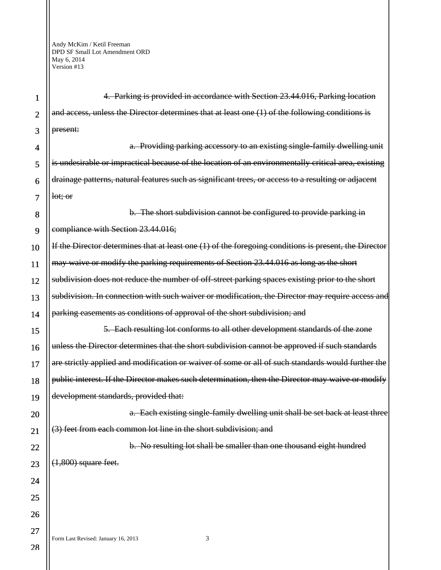| 1              | 4. Parking is provided in accordance with Section 23.44.016, Parking location                         |
|----------------|-------------------------------------------------------------------------------------------------------|
| $\overline{2}$ | and access, unless the Director determines that at least one (1) of the following conditions is       |
| 3              | present:                                                                                              |
| 4              | a. Providing parking accessory to an existing single family dwelling unit                             |
| 5              | is undesirable or impractical because of the location of an environmentally critical area, existing   |
| 6              | drainage patterns, natural features such as significant trees, or access to a resulting or adjacent   |
| 7              | lot; or                                                                                               |
| 8              | b. The short subdivision cannot be configured to provide parking in                                   |
| 9              | compliance with Section 23.44.016;                                                                    |
| 10             | If the Director determines that at least one (1) of the foregoing conditions is present, the Director |
| 11             | may waive or modify the parking requirements of Section 23.44.016 as long as the short                |
| 12             | subdivision does not reduce the number of off-street parking spaces existing prior to the short       |
| 13             | subdivision. In connection with such waiver or modification, the Director may require access and      |
| 14             | parking easements as conditions of approval of the short subdivision; and                             |
| 15             | 5. Each resulting lot conforms to all other development standards of the zone                         |
| 16             | unless the Director determines that the short subdivision cannot be approved if such standards        |
| 17             | are strictly applied and modification or waiver of some or all of such standards would further the    |
| 18             | public interest. If the Director makes such determination, then the Director may waive or modify      |
| 19             | development standards, provided that:                                                                 |
| 20             | a. Each existing single family dwelling unit shall be set back at least three                         |
| 21             | (3) feet from each common lot line in the short subdivision; and                                      |
| 22             | b. No resulting lot shall be smaller than one thousand eight hundred                                  |
| 23             | $(1,800)$ square feet.                                                                                |
| 24             |                                                                                                       |
| 25             |                                                                                                       |
| 26             |                                                                                                       |
| 27             |                                                                                                       |
| ററ             | 3<br>Form Last Revised: January 16, 2013                                                              |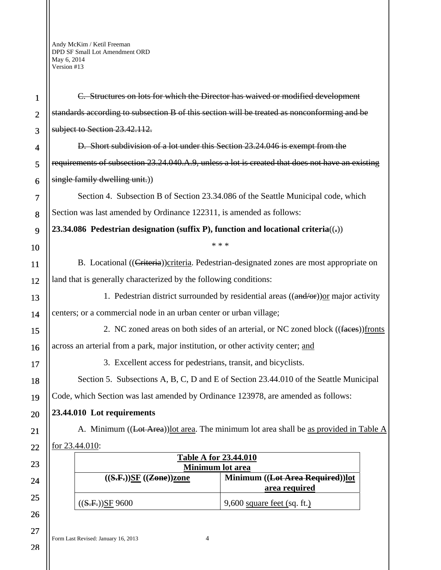| $\mathbf{1}$             | C. Structures on lots for which the Director has waived or modified development                  |  |  |
|--------------------------|--------------------------------------------------------------------------------------------------|--|--|
| $\overline{2}$           | standards according to subsection B of this section will be treated as nonconforming and be      |  |  |
| 3                        | subject to Section 23.42.112.                                                                    |  |  |
| $\overline{\mathcal{A}}$ | D. Short subdivision of a lot under this Section 23.24.046 is exempt from the                    |  |  |
| 5                        | requirements of subsection 23.24.040.A.9, unless a lot is created that does not have an existing |  |  |
| 6                        | single family dwelling unit.)                                                                    |  |  |
| 7                        | Section 4. Subsection B of Section 23.34.086 of the Seattle Municipal code, which                |  |  |
| 8                        | Section was last amended by Ordinance 122311, is amended as follows:                             |  |  |
| 9                        | 23.34.086 Pedestrian designation (suffix P), function and locational criteria( $($ ;))           |  |  |
| 10                       | * * *                                                                                            |  |  |
| <b>11</b>                | B. Locational ((Criteria)) criteria. Pedestrian-designated zones are most appropriate on         |  |  |
| 12                       | land that is generally characterized by the following conditions:                                |  |  |
| 13                       | 1. Pedestrian district surrounded by residential areas $((\text{and/or}))$ or major activity     |  |  |
| 14                       | centers; or a commercial node in an urban center or urban village;                               |  |  |
| 15                       | 2. NC zoned areas on both sides of an arterial, or NC zoned block ((faces)) fronts               |  |  |
| 16                       | across an arterial from a park, major institution, or other activity center; and                 |  |  |
| 17                       | 3. Excellent access for pedestrians, transit, and bicyclists.                                    |  |  |
| 18                       | Section 5. Subsections A, B, C, D and E of Section 23.44.010 of the Seattle Municipal            |  |  |
| 19                       | Code, which Section was last amended by Ordinance 123978, are amended as follows:                |  |  |
| 20                       | 23.44.010 Lot requirements                                                                       |  |  |
| 21                       | A. Minimum ((Lot Area)) lot area. The minimum lot area shall be as provided in Table A           |  |  |
| 22                       | for 23.44.010:                                                                                   |  |  |
| 23                       | <b>Table A for 23.44.010</b><br>Minimum lot area                                                 |  |  |
| 24                       | ((S.F.))SF ((Zone))zone<br>Minimum ((Lot Area Required))lot<br>area required                     |  |  |
| 25                       | $9,600$ square feet (sq. ft.)<br>((S.F.))SF 9600                                                 |  |  |
| 26                       |                                                                                                  |  |  |
| 27                       |                                                                                                  |  |  |

Form Last Revised: January 16, 2013 4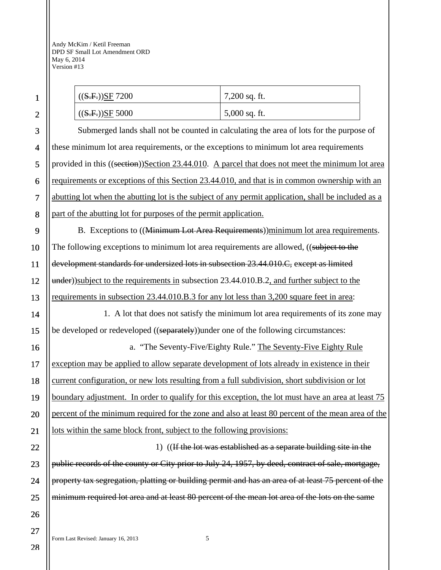| ((S.F.))SF 7200                                                                                     | 7,200 sq. ft.                                                   |  |
|-----------------------------------------------------------------------------------------------------|-----------------------------------------------------------------|--|
| ((S.F.))SF 5000                                                                                     | 5,000 sq. ft.                                                   |  |
| Submerged lands shall not be counted in calculating the area of lots for the purpose of             |                                                                 |  |
| these minimum lot area requirements, or the exceptions to minimum lot area requirements             |                                                                 |  |
| provided in this ((section))Section 23.44.010. A parcel that does not meet the minimum lot area     |                                                                 |  |
| requirements or exceptions of this Section 23.44.010, and that is in common ownership with an       |                                                                 |  |
| abutting lot when the abutting lot is the subject of any permit application, shall be included as a |                                                                 |  |
| part of the abutting lot for purposes of the permit application.                                    |                                                                 |  |
| B. Exceptions to ((Minimum Lot Area Requirements))minimum lot area requirements.                    |                                                                 |  |
| The following exceptions to minimum lot area requirements are allowed, ((subject to the             |                                                                 |  |
| development standards for undersized lots in subsection 23.44.010.C, except as limited              |                                                                 |  |
| under))subject to the requirements in subsection 23.44.010.B.2, and further subject to the          |                                                                 |  |
| requirements in subsection 23.44.010.B.3 for any lot less than 3,200 square feet in area:           |                                                                 |  |
| 1. A lot that does not satisfy the minimum lot area requirements of its zone may                    |                                                                 |  |
| be developed or redeveloped ((separately)) under one of the following circumstances:                |                                                                 |  |
|                                                                                                     | a. "The Seventy-Five/Eighty Rule." The Seventy-Five Eighty Rule |  |
| exception may be applied to allow separate development of lots already in existence in their        |                                                                 |  |
| current configuration, or new lots resulting from a full subdivision, short subdivision or lot      |                                                                 |  |
| boundary adjustment. In order to qualify for this exception, the lot must have an area at least 75  |                                                                 |  |
| percent of the minimum required for the zone and also at least 80 percent of the mean area of the   |                                                                 |  |
| lots within the same block front, subject to the following provisions:                              |                                                                 |  |
| 1) ((If the lot was established as a separate building site in the                                  |                                                                 |  |
| public records of the county or City prior to July 24, 1957, by deed, contract of sale, mortgage,   |                                                                 |  |
| property tax segregation, platting or building permit and has an area of at least 75 percent of the |                                                                 |  |
| minimum required lot area and at least 80 percent of the mean lot area of the lots on the same      |                                                                 |  |
|                                                                                                     |                                                                 |  |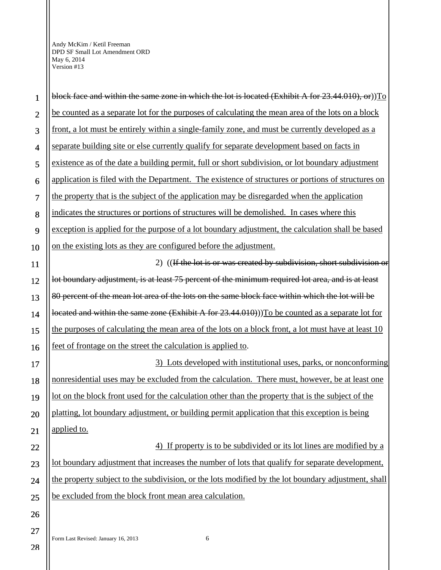Form Last Revised: January 16, 2013 6 1 2 3 4 5 6 7 8 9 10 11 12 13 14 15 16 17 18 19 20 21 22 23 24 25 26 27 block face and within the same zone in which the lot is located (Exhibit A for 23.44.010), or))To be counted as a separate lot for the purposes of calculating the mean area of the lots on a block front, a lot must be entirely within a single-family zone, and must be currently developed as a separate building site or else currently qualify for separate development based on facts in existence as of the date a building permit, full or short subdivision, or lot boundary adjustment application is filed with the Department. The existence of structures or portions of structures on the property that is the subject of the application may be disregarded when the application indicates the structures or portions of structures will be demolished. In cases where this exception is applied for the purpose of a lot boundary adjustment, the calculation shall be based on the existing lots as they are configured before the adjustment. 2) ((If the lot is or was created by subdivision, short subdivision or lot boundary adjustment, is at least 75 percent of the minimum required lot area, and is at least 80 percent of the mean lot area of the lots on the same block face within which the lot will be located and within the same zone (Exhibit A for 23.44.010)). To be counted as a separate lot for the purposes of calculating the mean area of the lots on a block front, a lot must have at least 10 feet of frontage on the street the calculation is applied to. 3) Lots developed with institutional uses, parks, or nonconforming nonresidential uses may be excluded from the calculation. There must, however, be at least one lot on the block front used for the calculation other than the property that is the subject of the platting, lot boundary adjustment, or building permit application that this exception is being applied to. 4) If property is to be subdivided or its lot lines are modified by a lot boundary adjustment that increases the number of lots that qualify for separate development, the property subject to the subdivision, or the lots modified by the lot boundary adjustment, shall be excluded from the block front mean area calculation.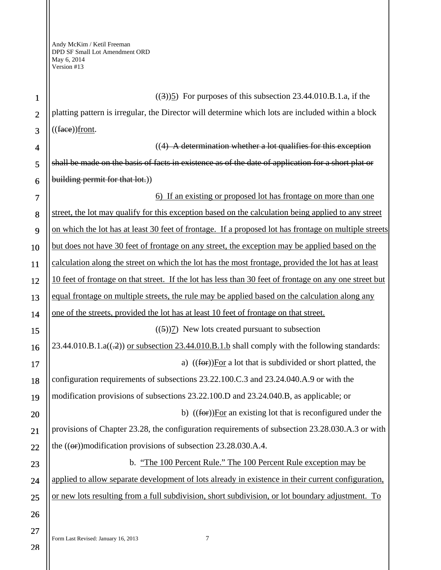1 2 3 4 5 6 7 8 9 10 11 12 13 14 15 16 17 18 19 20 21 22 23 24 25 26 27  $((3))$ 5) For purposes of this subsection 23.44.010.B.1.a, if the platting pattern is irregular, the Director will determine which lots are included within a block  $((\text{face})$ front. ((4) A determination whether a lot qualifies for this exception shall be made on the basis of facts in existence as of the date of application for a short plat or building permit for that lot.)) 6) If an existing or proposed lot has frontage on more than one street, the lot may qualify for this exception based on the calculation being applied to any street on which the lot has at least 30 feet of frontage. If a proposed lot has frontage on multiple streets but does not have 30 feet of frontage on any street, the exception may be applied based on the calculation along the street on which the lot has the most frontage, provided the lot has at least 10 feet of frontage on that street. If the lot has less than 30 feet of frontage on any one street but equal frontage on multiple streets, the rule may be applied based on the calculation along any one of the streets, provided the lot has at least 10 feet of frontage on that street.  $((5))7$ ) New lots created pursuant to subsection  $23.44.010.B.1.a((-2))$  or subsection  $23.44.010.B.1.b$  shall comply with the following standards: a) ((for))For a lot that is subdivided or short platted, the configuration requirements of subsections 23.22.100.C.3 and 23.24.040.A.9 or with the modification provisions of subsections 23.22.100.D and 23.24.040.B, as applicable; or b) ((for))For an existing lot that is reconfigured under the provisions of Chapter 23.28, the configuration requirements of subsection 23.28.030.A.3 or with the  $((\text{or})$ )modification provisions of subsection 23.28.030.A.4. b. "The 100 Percent Rule." The 100 Percent Rule exception may be applied to allow separate development of lots already in existence in their current configuration, or new lots resulting from a full subdivision, short subdivision, or lot boundary adjustment. To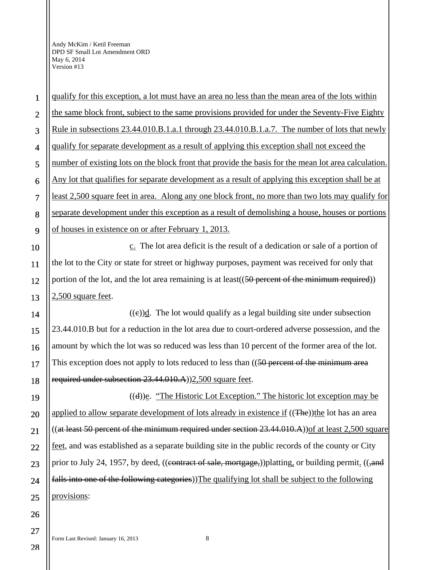1 2 3 4 5 6 7 8 9 10 11 12 13 14 15 16 17 18 19 20 21 22 23 24 25 26 the same block front, subject to the same provisions provided for under the Seventy-Five Eighty Rule in subsections 23.44.010.B.1.a.1 through 23.44.010.B.1.a.7. The number of lots that newly qualify for separate development as a result of applying this exception shall not exceed the number of existing lots on the block front that provide the basis for the mean lot area calculation. Any lot that qualifies for separate development as a result of applying this exception shall be at least 2,500 square feet in area. Along any one block front, no more than two lots may qualify for separate development under this exception as a result of demolishing a house, houses or portions of houses in existence on or after February 1, 2013. c. The lot area deficit is the result of a dedication or sale of a portion of the lot to the City or state for street or highway purposes, payment was received for only that portion of the lot, and the lot area remaining is at least ((50 percent of the minimum required)) 2,500 square feet.  $((e))$ d. The lot would qualify as a legal building site under subsection 23.44.010.B but for a reduction in the lot area due to court-ordered adverse possession, and the amount by which the lot was so reduced was less than 10 percent of the former area of the lot. This exception does not apply to lots reduced to less than ((50 percent of the minimum area required under subsection 23.44.010.A))2,500 square feet.  $((d))$ e. "The Historic Lot Exception." The historic lot exception may be applied to allow separate development of lots already in existence if ((The))the lot has an area ((at least 50 percent of the minimum required under section  $23.44.010.A$ )) of at least  $2,500$  square feet, and was established as a separate building site in the public records of the county or City prior to July 24, 1957, by deed, ((contract of sale, mortgage,))platting, or building permit. ((,and falls into one of the following categories)) The qualifying lot shall be subject to the following provisions:

qualify for this exception, a lot must have an area no less than the mean area of the lots within

28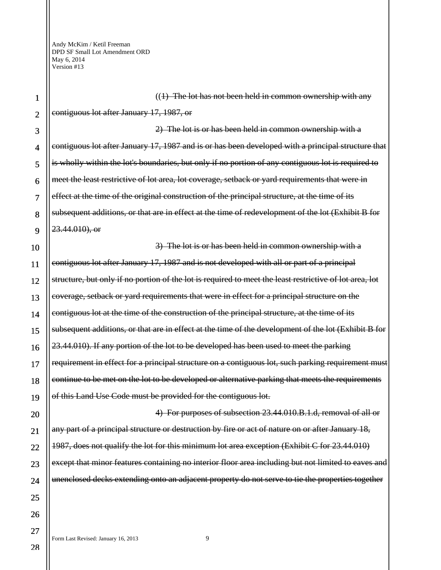10 12 13 14 15 16 18 19  $((1)$  The lot has not been held in common ownership with any contiguous lot after January 17, 1987, or 2) The lot is or has been held in common ownership with a contiguous lot after January 17, 1987 and is or has been developed with a principal structure that is wholly within the lot's boundaries, but only if no portion of any contiguous lot is required to meet the least restrictive of lot area, lot coverage, setback or yard requirements that were in effect at the time of the original construction of the principal structure, at the time of its subsequent additions, or that are in effect at the time of redevelopment of the lot (Exhibit B for 23.44.010), or 3) The lot is or has been held in common ownership with a contiguous lot after January 17, 1987 and is not developed with all or part of a principal structure, but only if no portion of the lot is required to meet the least restrictive of lot area, lot coverage, setback or yard requirements that were in effect for a principal structure on the contiguous lot at the time of the construction of the principal structure, at the time of its subsequent additions, or that are in effect at the time of the development of the lot (Exhibit B for 23.44.010). If any portion of the lot to be developed has been used to meet the parking requirement in effect for a principal structure on a contiguous lot, such parking requirement must continue to be met on the lot to be developed or alternative parking that meets the requirements of this Land Use Code must be provided for the contiguous lot.

4) For purposes of subsection 23.44.010.B.1.d, removal of all or any part of a principal structure or destruction by fire or act of nature on or after January 18, 1987, does not qualify the lot for this minimum lot area exception (Exhibit C for 23.44.010) except that minor features containing no interior floor area including but not limited to eaves and unenclosed decks extending onto an adjacent property do not serve to tie the properties together

9

11

17

20

21

22

23

24

25

26

27

Form Last Revised: January 16, 2013 9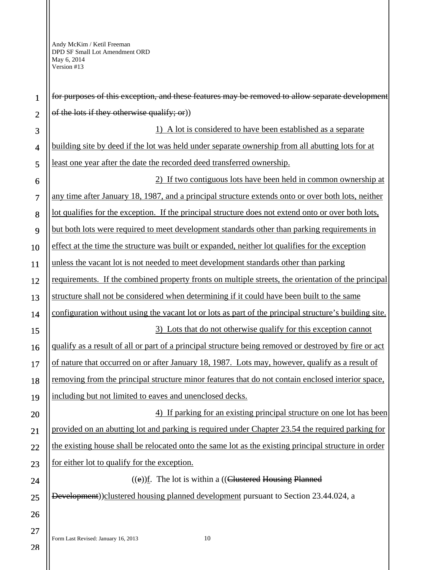| $\mathbf{1}$   | for purposes of this exception, and these features may be removed to allow separate development        |
|----------------|--------------------------------------------------------------------------------------------------------|
| $\overline{2}$ | of the lots if they otherwise qualify; or)                                                             |
| 3              | 1) A lot is considered to have been established as a separate                                          |
| $\overline{4}$ | building site by deed if the lot was held under separate ownership from all abutting lots for at       |
| 5              | least one year after the date the recorded deed transferred ownership.                                 |
| 6              | 2) If two contiguous lots have been held in common ownership at                                        |
| $\overline{7}$ | any time after January 18, 1987, and a principal structure extends onto or over both lots, neither     |
| 8              | lot qualifies for the exception. If the principal structure does not extend onto or over both lots,    |
| 9              | but both lots were required to meet development standards other than parking requirements in           |
| 10             | effect at the time the structure was built or expanded, neither lot qualifies for the exception        |
| 11             | unless the vacant lot is not needed to meet development standards other than parking                   |
| 12             | requirements. If the combined property fronts on multiple streets, the orientation of the principal    |
| 13             | structure shall not be considered when determining if it could have been built to the same             |
| 14             | configuration without using the vacant lot or lots as part of the principal structure's building site. |
| 15             | 3) Lots that do not otherwise qualify for this exception cannot                                        |
| 16             | qualify as a result of all or part of a principal structure being removed or destroyed by fire or act  |
| 17             | of nature that occurred on or after January 18, 1987. Lots may, however, qualify as a result of        |
| 18             | removing from the principal structure minor features that do not contain enclosed interior space,      |
| 19             | including but not limited to eaves and unenclosed decks.                                               |
| 20             | 4) If parking for an existing principal structure on one lot has been                                  |
| 21             | provided on an abutting lot and parking is required under Chapter 23.54 the required parking for       |
| 22             | the existing house shall be relocated onto the same lot as the existing principal structure in order   |
| 23             | for either lot to qualify for the exception.                                                           |
| 24             | $((e))$ f. The lot is within a ((Clustered Housing Planned                                             |
| 25             | Development)) clustered housing planned development pursuant to Section 23.44.024, a                   |
| 26             |                                                                                                        |
| 27             | $10\,$                                                                                                 |
| 28             | Form Last Revised: January 16, 2013                                                                    |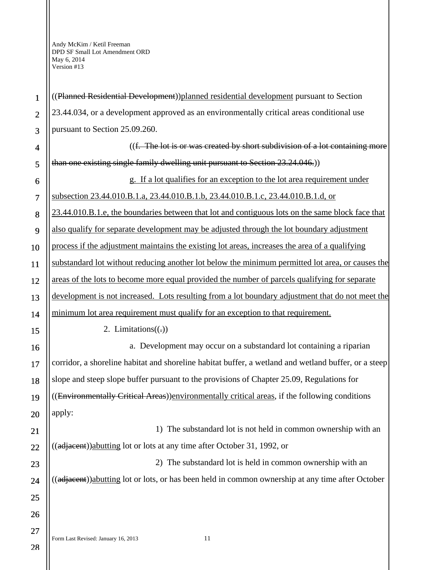| $\mathbf{1}$            | ((Planned Residential Development))planned residential development pursuant to Section               |
|-------------------------|------------------------------------------------------------------------------------------------------|
| $\overline{2}$          | 23.44.034, or a development approved as an environmentally critical areas conditional use            |
| 3                       | pursuant to Section 25.09.260.                                                                       |
| $\overline{\mathbf{4}}$ | ((f. The lot is or was created by short subdivision of a lot containing more                         |
| 5                       | than one existing single family dwelling unit pursuant to Section 23.24.046.)                        |
| 6                       | g. If a lot qualifies for an exception to the lot area requirement under                             |
| $\overline{7}$          | subsection 23.44.010.B.1.a, 23.44.010.B.1.b, 23.44.010.B.1.c, 23.44.010.B.1.d, or                    |
| 8                       | 23.44.010.B.1.e, the boundaries between that lot and contiguous lots on the same block face that     |
| 9                       | also qualify for separate development may be adjusted through the lot boundary adjustment            |
| 10                      | process if the adjustment maintains the existing lot areas, increases the area of a qualifying       |
| 11                      | substandard lot without reducing another lot below the minimum permitted lot area, or causes the     |
| 12                      | areas of the lots to become more equal provided the number of parcels qualifying for separate        |
| 13                      | development is not increased. Lots resulting from a lot boundary adjustment that do not meet the     |
| 14                      | minimum lot area requirement must qualify for an exception to that requirement.                      |
| 15                      | 2. Limitations $((.)$                                                                                |
| 16                      | a. Development may occur on a substandard lot containing a riparian                                  |
| 17                      | corridor, a shoreline habitat and shoreline habitat buffer, a wetland and wetland buffer, or a steep |
| 18                      | slope and steep slope buffer pursuant to the provisions of Chapter 25.09, Regulations for            |
| 19                      | ((Environmentally Critical Areas)) environmentally critical areas, if the following conditions       |
| 20                      | apply:                                                                                               |
| 21                      | 1) The substandard lot is not held in common ownership with an                                       |
| 22                      | ((adjacent)) abutting lot or lots at any time after October 31, 1992, or                             |
| 23                      | The substandard lot is held in common ownership with an<br>2)                                        |
| 24                      | ((adjacent))abutting lot or lots, or has been held in common ownership at any time after October     |
| 25                      |                                                                                                      |
| 26                      |                                                                                                      |
| 27                      |                                                                                                      |
|                         | Form Last Revised: January 16, 2013<br>11                                                            |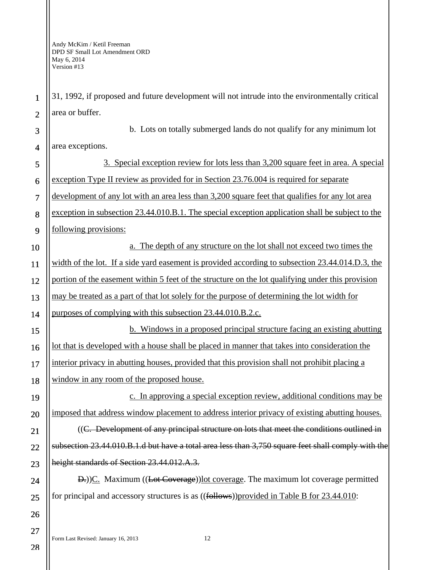1

2

31, 1992, if proposed and future development will not intrude into the environmentally critical area or buffer.

3 4 b. Lots on totally submerged lands do not qualify for any minimum lot area exceptions.

5 6 7 8 9 10 11 12 13 14 15 3. Special exception review for lots less than 3,200 square feet in area. A special exception Type II review as provided for in Section 23.76.004 is required for separate development of any lot with an area less than 3,200 square feet that qualifies for any lot area exception in subsection 23.44.010.B.1. The special exception application shall be subject to the following provisions: a. The depth of any structure on the lot shall not exceed two times the width of the lot. If a side yard easement is provided according to subsection 23.44.014.D.3, the portion of the easement within 5 feet of the structure on the lot qualifying under this provision may be treated as a part of that lot solely for the purpose of determining the lot width for purposes of complying with this subsection 23.44.010.B.2.c. b. Windows in a proposed principal structure facing an existing abutting lot that is developed with a house shall be placed in manner that takes into consideration the

17 18 interior privacy in abutting houses, provided that this provision shall not prohibit placing a window in any room of the proposed house.

c. In approving a special exception review, additional conditions may be imposed that address window placement to address interior privacy of existing abutting houses. ((C. Development of any principal structure on lots that meet the conditions outlined in subsection 23.44.010.B.1.d but have a total area less than 3,750 square feet shall comply with the

D.))C. Maximum ((Lot Coverage))lot coverage. The maximum lot coverage permitted for principal and accessory structures is as ((follows)) provided in Table B for 23.44.010:

height standards of Section 23.44.012.A.3.

16

19

20

21

22

23

24

25

26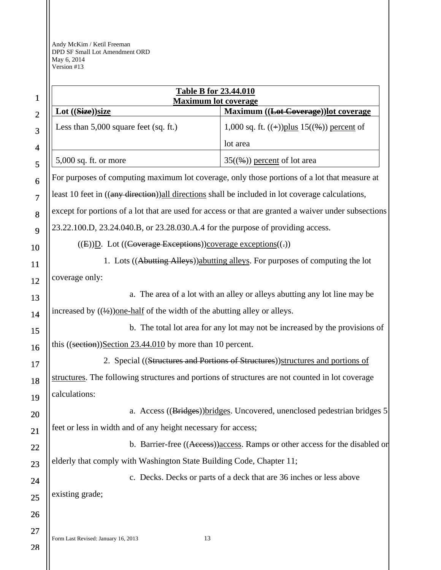|                          | <b>Table B for 23.44.010</b>                                                                         |                                                                     |  |
|--------------------------|------------------------------------------------------------------------------------------------------|---------------------------------------------------------------------|--|
| 1                        | <b>Maximum lot coverage</b>                                                                          |                                                                     |  |
| $\overline{2}$           | Lot ((Size))size                                                                                     | Maximum ((Lot Coverage)) lot coverage                               |  |
| 3                        | Less than $5,000$ square feet (sq. ft.)                                                              | 1,000 sq. ft. $((+))$ plus 15 $((\%)$ ) percent of                  |  |
| $\overline{\mathcal{A}}$ |                                                                                                      | lot area                                                            |  |
| 5                        | $5,000$ sq. ft. or more                                                                              | $35(\frac{6}{9})$ percent of lot area                               |  |
| 6                        | For purposes of computing maximum lot coverage, only those portions of a lot that measure at         |                                                                     |  |
| $\overline{7}$           | least 10 feet in ((any direction)) all directions shall be included in lot coverage calculations,    |                                                                     |  |
| 8                        | except for portions of a lot that are used for access or that are granted a waiver under subsections |                                                                     |  |
| 9                        | 23.22.100.D, 23.24.040.B, or 23.28.030.A.4 for the purpose of providing access.                      |                                                                     |  |
| 10                       | $((E))D.$ Lot $((\text{Coverage Exceptions}))$ coverage exceptions $((.)$                            |                                                                     |  |
| 11                       | 1. Lots ((Abutting Alleys)) abutting alleys. For purposes of computing the lot                       |                                                                     |  |
| 12                       | coverage only:                                                                                       |                                                                     |  |
| 13                       | a. The area of a lot with an alley or alleys abutting any lot line may be                            |                                                                     |  |
| 14                       | increased by $((\frac{1}{2}))$ one-half of the width of the abutting alley or alleys.                |                                                                     |  |
| 15                       | b. The total lot area for any lot may not be increased by the provisions of                          |                                                                     |  |
| 16                       | this $((section))\cdot Section 23.44.010$ by more than 10 percent.                                   |                                                                     |  |
| 17                       | 2. Special ((Structures and Portions of Structures)) structures and portions of                      |                                                                     |  |
| 18                       | structures. The following structures and portions of structures are not counted in lot coverage      |                                                                     |  |
| 19                       | calculations:                                                                                        |                                                                     |  |
| 20                       | a. Access ((Bridges)) bridges. Uncovered, unenclosed pedestrian bridges 5                            |                                                                     |  |
| 21                       | feet or less in width and of any height necessary for access;                                        |                                                                     |  |
| 22                       | b. Barrier-free ((Access)) access. Ramps or other access for the disabled or                         |                                                                     |  |
| 23                       | elderly that comply with Washington State Building Code, Chapter 11;                                 |                                                                     |  |
| 24                       |                                                                                                      | c. Decks. Decks or parts of a deck that are 36 inches or less above |  |
| 25                       | existing grade;                                                                                      |                                                                     |  |
| 26                       |                                                                                                      |                                                                     |  |
| 27                       | Form Last Revised: January 16, 2013<br>13                                                            |                                                                     |  |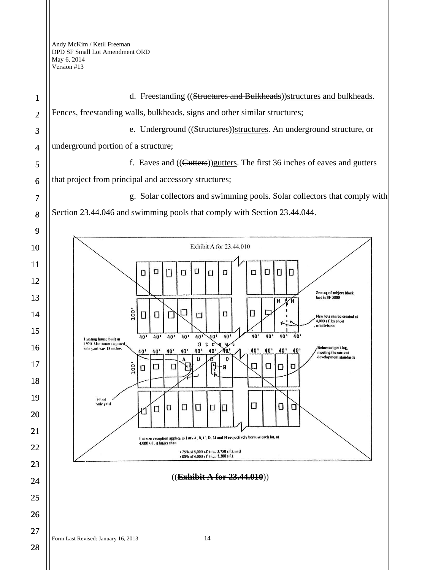d. Freestanding ((Structures and Bulkheads))structures and bulkheads. 1 Fences, freestanding walls, bulkheads, signs and other similar structures; 2 e. Underground ((Structures))structures. An underground structure, or 3 underground portion of a structure; 4 f. Eaves and ((Gutters))gutters. The first 36 inches of eaves and gutters 5 that project from principal and accessory structures; 6 g. Solar collectors and swimming pools. Solar collectors that comply with 7 Section 23.44.046 and swimming pools that comply with Section 23.44.044. 8 9 Exhibit A for 23,44,010 10 11  $\Box$ O Ū  $\Box$  $\Box$ O  $\Box$  $\Box$  $\Box$  $\Box$  $\Box$ 12 Zoning of subject block<br>face is SF 5000 13  $\overline{M}$  $\sqrt{N}$ oo □  $\Box$  $\Box$  $\Box$ 14  $\Box$  $\Box$ Г  $\Box$ New lots can be created at 4,000 s f. by short 15  $\overline{40}$  $10'$  $10'$  $40'$  $10'$  $\overline{40}$  $40<sup>1</sup>$  $10'$  $40'$  $40$  $40'$ **Lyisting house built in** 1920 Minimum required<br>side yard was 18 inches  $3 \t{r}$  $\theta$ 16 Relocated parking,<br>meeting the current  $40'$  $\overline{M}$  $40<sup>1</sup>$  $40'$  $40'$ 40'  $40'$  $40'$ 40' 10'  $40'$ nent stand  $\mathbf{D}$  $\mathbf{D}$ 17  $\frac{1}{2}$ 口 Ο  $\Box$  $\Box$ F  $\Box$ O  $\Box$ Ð 18 19 1-foot side vard Ο Π  $\Box$ α Ο  $\Box$ 0 D  $\Box$ rí 20 21 I of size exception applies to 1 ots A, B, C, D, M and N respectively because each lot, at 4,000 s f , is larger than 22 • 75% of 5,000 s.f. (i.e., 3,750 s f.), and<br>• 80% of 4,000 s f' (i.e., 3,200 s f.). 23 ((**Exhibit A for 23.44.010**)) 24 25 26 27 Form Last Revised: January 16, 2013 14 28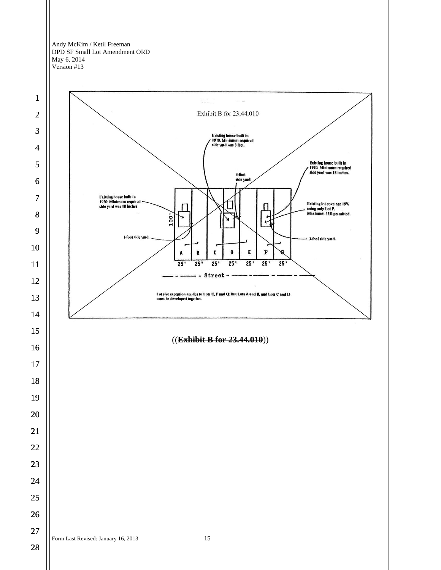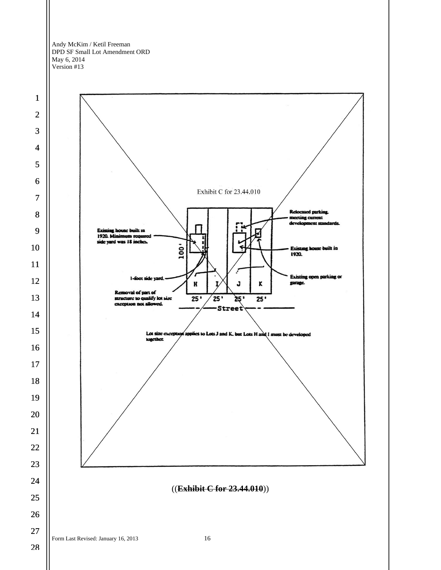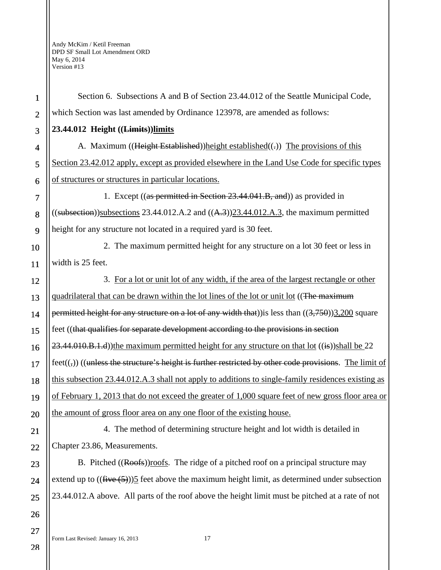1 2 3 4 5 6 7 8 9 10 11 12 13 14 15 16 17 18 19 20 21 22 23 24 Section 6. Subsections A and B of Section 23.44.012 of the Seattle Municipal Code, which Section was last amended by Ordinance 123978, are amended as follows: **23.44.012 Height ((Limits))limits**  A. Maximum ((Height Established))height established((-)) The provisions of this Section 23.42.012 apply, except as provided elsewhere in the Land Use Code for specific types of structures or structures in particular locations. 1. Except ((as permitted in Section 23.44.041.B, and)) as provided in  $(($ subsection))subsections 23.44.012.A.2 and  $(($ A.3) $)$ 23.44.012.A.3, the maximum permitted height for any structure not located in a required yard is 30 feet. 2. The maximum permitted height for any structure on a lot 30 feet or less in width is 25 feet. 3. For a lot or unit lot of any width, if the area of the largest rectangle or other quadrilateral that can be drawn within the lot lines of the lot or unit lot ((The maximum permitted height for any structure on a lot of any width that)) is less than  $((3,750))3,200$  square feet ((that qualifies for separate development according to the provisions in section  $23.44.010.B.1.d$ ))the maximum permitted height for any structure on that lot  $((i\cdot s))$ shall be 22  $fect((\zeta))$  ((unless the structure's height is further restricted by other code provisions. The limit of this subsection 23.44.012.A.3 shall not apply to additions to single-family residences existing as of February 1, 2013 that do not exceed the greater of 1,000 square feet of new gross floor area or the amount of gross floor area on any one floor of the existing house. 4. The method of determining structure height and lot width is detailed in Chapter 23.86, Measurements. B. Pitched ((Roofs))roofs. The ridge of a pitched roof on a principal structure may extend up to  $((\overline{five}(5)))$ 5 feet above the maximum height limit, as determined under subsection

25 23.44.012.A above. All parts of the roof above the height limit must be pitched at a rate of not

Form Last Revised: January 16, 2013 17

28

26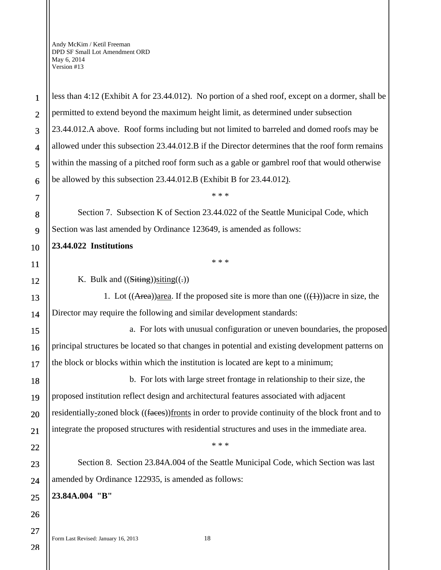1

2

3

4

5

6

7

8

9

10

11

12

13

14

15

16

17

18

19

20

21

22

23

24

25

26

27

less than 4:12 (Exhibit A for 23.44.012). No portion of a shed roof, except on a dormer, shall be permitted to extend beyond the maximum height limit, as determined under subsection 23.44.012.A above. Roof forms including but not limited to barreled and domed roofs may be allowed under this subsection 23.44.012.B if the Director determines that the roof form remains within the massing of a pitched roof form such as a gable or gambrel roof that would otherwise be allowed by this subsection 23.44.012.B (Exhibit B for 23.44.012).

Section 7. Subsection K of Section 23.44.022 of the Seattle Municipal Code, which Section was last amended by Ordinance 123649, is amended as follows:

# **23.44.022 Institutions**

\* \* \*

\* \* \*

K. Bulk and  $((\text{Stting}))$ siting $((.)$ 

1. Lot  $((Area))$ area. If the proposed site is more than one  $((+))$ acre in size, the Director may require the following and similar development standards:

a. For lots with unusual configuration or uneven boundaries, the proposed principal structures be located so that changes in potential and existing development patterns on the block or blocks within which the institution is located are kept to a minimum;

b. For lots with large street frontage in relationship to their size, the proposed institution reflect design and architectural features associated with adjacent residentially-zoned block ((faces))fronts in order to provide continuity of the block front and to integrate the proposed structures with residential structures and uses in the immediate area.

Section 8. Section 23.84A.004 of the Seattle Municipal Code, which Section was last amended by Ordinance 122935, is amended as follows:

\* \* \*

**23.84A.004 "B"**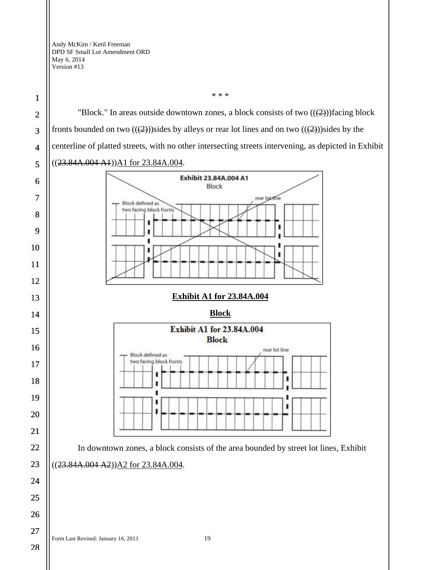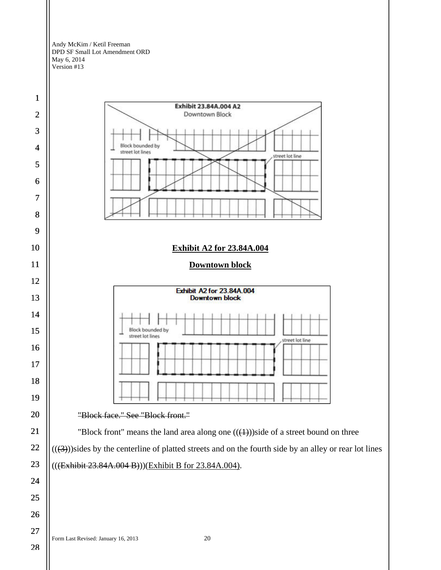![](_page_19_Figure_1.jpeg)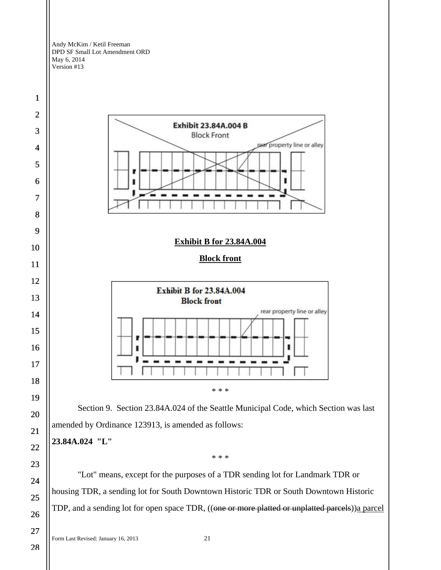![](_page_20_Figure_1.jpeg)

TDP, and a sending lot for open space TDR, ((one or more platted or unplatted parcels))a parcel

Form Last Revised: January 16, 2013 21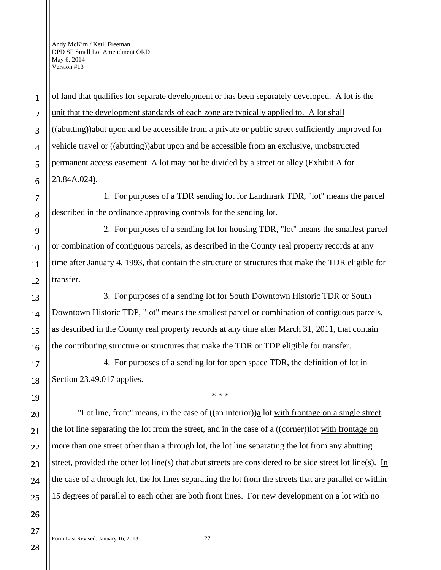of land that qualifies for separate development or has been separately developed. A lot is the unit that the development standards of each zone are typically applied to. A lot shall ((abutting))abut upon and be accessible from a private or public street sufficiently improved for vehicle travel or ((abutting))abut upon and be accessible from an exclusive, unobstructed permanent access easement. A lot may not be divided by a street or alley (Exhibit A for 23.84A.024).

1. For purposes of a TDR sending lot for Landmark TDR, "lot" means the parcel described in the ordinance approving controls for the sending lot.

2. For purposes of a sending lot for housing TDR, "lot" means the smallest parcel or combination of contiguous parcels, as described in the County real property records at any time after January 4, 1993, that contain the structure or structures that make the TDR eligible for transfer.

3. For purposes of a sending lot for South Downtown Historic TDR or South Downtown Historic TDP, "lot" means the smallest parcel or combination of contiguous parcels, as described in the County real property records at any time after March 31, 2011, that contain the contributing structure or structures that make the TDR or TDP eligible for transfer.

4. For purposes of a sending lot for open space TDR, the definition of lot in Section 23.49.017 applies.

\* \* \*

"Lot line, front" means, in the case of  $((a~~n interior~~))$ a lot with frontage on a single street, the lot line separating the lot from the street, and in the case of a ((corner))lot with frontage on more than one street other than a through lot, the lot line separating the lot from any abutting street, provided the other lot line(s) that abut streets are considered to be side street lot line(s). In the case of a through lot, the lot lines separating the lot from the streets that are parallel or within 15 degrees of parallel to each other are both front lines. For new development on a lot with no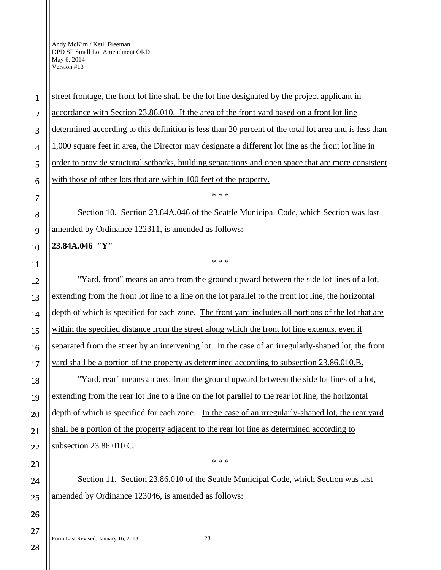street frontage, the front lot line shall be the lot line designated by the project applicant in accordance with Section 23.86.010. If the area of the front yard based on a front lot line determined according to this definition is less than 20 percent of the total lot area and is less than 1,000 square feet in area, the Director may designate a different lot line as the front lot line in order to provide structural setbacks, building separations and open space that are more consistent with those of other lots that are within 100 feet of the property.

Section 10. Section 23.84A.046 of the Seattle Municipal Code, which Section was last amended by Ordinance 122311, is amended as follows:

\* \* \*

\* \* \*

### **23.84A.046 "Y"**

"Yard, front" means an area from the ground upward between the side lot lines of a lot, extending from the front lot line to a line on the lot parallel to the front lot line, the horizontal depth of which is specified for each zone. The front yard includes all portions of the lot that are within the specified distance from the street along which the front lot line extends, even if separated from the street by an intervening lot. In the case of an irregularly-shaped lot, the front yard shall be a portion of the property as determined according to subsection 23.86.010.B.

"Yard, rear" means an area from the ground upward between the side lot lines of a lot, extending from the rear lot line to a line on the lot parallel to the rear lot line, the horizontal depth of which is specified for each zone. In the case of an irregularly-shaped lot, the rear yard shall be a portion of the property adjacent to the rear lot line as determined according to subsection 23.86.010.C.

Section 11. Section 23.86.010 of the Seattle Municipal Code, which Section was last amended by Ordinance 123046, is amended as follows:

\* \* \*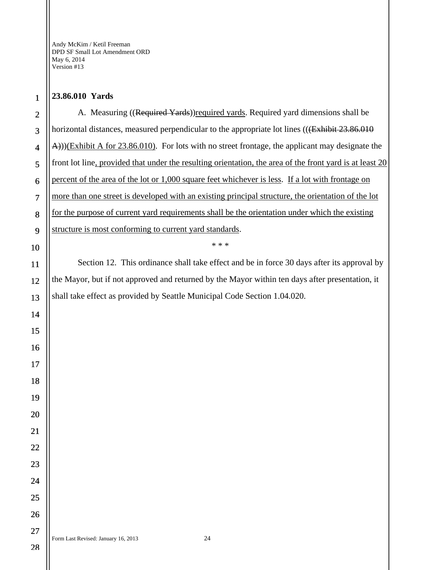## **23.86.010 Yards**

 A. Measuring ((Required Yards))required yards. Required yard dimensions shall be horizontal distances, measured perpendicular to the appropriate lot lines ((<del>(Exhibit 23.86.010</del>) A)))(Exhibit A for 23.86.010). For lots with no street frontage, the applicant may designate the front lot line, provided that under the resulting orientation, the area of the front yard is at least 20 percent of the area of the lot or 1,000 square feet whichever is less. If a lot with frontage on more than one street is developed with an existing principal structure, the orientation of the lot for the purpose of current yard requirements shall be the orientation under which the existing structure is most conforming to current yard standards. \* \* \* Section 12. This ordinance shall take effect and be in force 30 days after its approval by the Mayor, but if not approved and returned by the Mayor within ten days after presentation, it shall take effect as provided by Seattle Municipal Code Section 1.04.020.